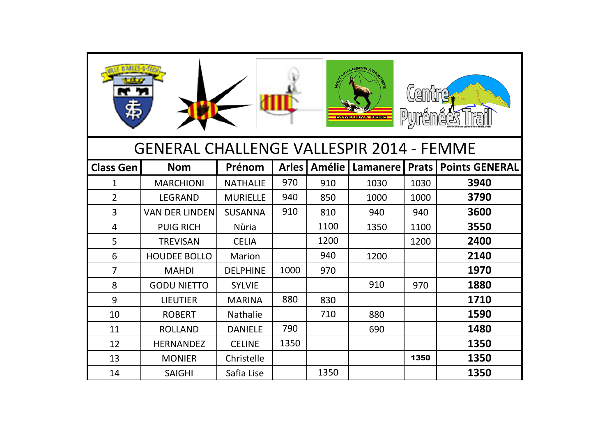|                                                 |                       |                 |              |               | <b>MATANEURINA PUBITIE</b> | Lem<br>Pyrénées |                       |
|-------------------------------------------------|-----------------------|-----------------|--------------|---------------|----------------------------|-----------------|-----------------------|
| <b>GENERAL CHALLENGE VALLESPIR 2014 - FEMME</b> |                       |                 |              |               |                            |                 |                       |
| <b>Class Gen</b>                                | <b>Nom</b>            | Prénom          | <b>Arles</b> | <b>Amélie</b> | <b>Lamanere</b>            | <b>Prats</b>    | <b>Points GENERAL</b> |
| 1                                               | <b>MARCHIONI</b>      | <b>NATHALIE</b> | 970          | 910           | 1030                       | 1030            | 3940                  |
| $\overline{2}$                                  | <b>LEGRAND</b>        | <b>MURIELLE</b> | 940          | 850           | 1000                       | 1000            | 3790                  |
| $\overline{3}$                                  | <b>VAN DER LINDEN</b> | <b>SUSANNA</b>  | 910          | 810           | 940                        | 940             | 3600                  |
| $\overline{4}$                                  | <b>PUIG RICH</b>      | <b>Nùria</b>    |              | 1100          | 1350                       | 1100            | 3550                  |
| 5                                               | <b>TREVISAN</b>       | <b>CELIA</b>    |              | 1200          |                            | 1200            | 2400                  |
| 6                                               | <b>HOUDEE BOLLO</b>   | Marion          |              | 940           | 1200                       |                 | 2140                  |
| $\overline{7}$                                  | <b>MAHDI</b>          | <b>DELPHINE</b> | 1000         | 970           |                            |                 | 1970                  |
| 8                                               | <b>GODU NIETTO</b>    | <b>SYLVIE</b>   |              |               | 910                        | 970             | 1880                  |
| 9                                               | <b>LIEUTIER</b>       | <b>MARINA</b>   | 880          | 830           |                            |                 | 1710                  |
| 10                                              | <b>ROBERT</b>         | <b>Nathalie</b> |              | 710           | 880                        |                 | 1590                  |
| 11                                              | <b>ROLLAND</b>        | <b>DANIELE</b>  | 790          |               | 690                        |                 | 1480                  |
| 12                                              | <b>HERNANDEZ</b>      | <b>CELINE</b>   | 1350         |               |                            |                 | 1350                  |
| 13                                              | <b>MONIER</b>         | Christelle      |              |               |                            | 1350            | 1350                  |
| 14                                              | <b>SAIGHI</b>         | Safia Lise      |              | 1350          |                            |                 | 1350                  |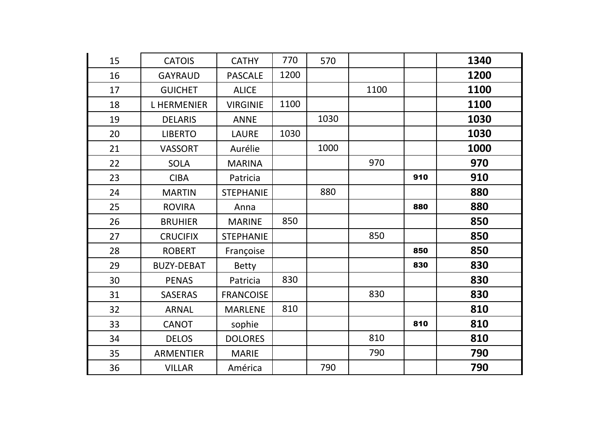| 15 | <b>CATOIS</b>     | <b>CATHY</b>     | 770  | 570  |      |     | 1340 |
|----|-------------------|------------------|------|------|------|-----|------|
| 16 | <b>GAYRAUD</b>    | <b>PASCALE</b>   | 1200 |      |      |     | 1200 |
| 17 | <b>GUICHET</b>    | <b>ALICE</b>     |      |      | 1100 |     | 1100 |
| 18 | <b>LHERMENIER</b> | <b>VIRGINIE</b>  | 1100 |      |      |     | 1100 |
| 19 | <b>DELARIS</b>    | <b>ANNE</b>      |      | 1030 |      |     | 1030 |
| 20 | <b>LIBERTO</b>    | <b>LAURE</b>     | 1030 |      |      |     | 1030 |
| 21 | <b>VASSORT</b>    | Aurélie          |      | 1000 |      |     | 1000 |
| 22 | <b>SOLA</b>       | <b>MARINA</b>    |      |      | 970  |     | 970  |
| 23 | <b>CIBA</b>       | Patricia         |      |      |      | 910 | 910  |
| 24 | <b>MARTIN</b>     | <b>STEPHANIE</b> |      | 880  |      |     | 880  |
| 25 | <b>ROVIRA</b>     | Anna             |      |      |      | 880 | 880  |
| 26 | <b>BRUHIER</b>    | <b>MARINE</b>    | 850  |      |      |     | 850  |
| 27 | <b>CRUCIFIX</b>   | <b>STEPHANIE</b> |      |      | 850  |     | 850  |
| 28 | <b>ROBERT</b>     | Françoise        |      |      |      | 850 | 850  |
| 29 | <b>BUZY-DEBAT</b> | <b>Betty</b>     |      |      |      | 830 | 830  |
| 30 | <b>PENAS</b>      | Patricia         | 830  |      |      |     | 830  |
| 31 | <b>SASERAS</b>    | <b>FRANCOISE</b> |      |      | 830  |     | 830  |
| 32 | <b>ARNAL</b>      | <b>MARLENE</b>   | 810  |      |      |     | 810  |
| 33 | <b>CANOT</b>      | sophie           |      |      |      | 810 | 810  |
| 34 | <b>DELOS</b>      | <b>DOLORES</b>   |      |      | 810  |     | 810  |
| 35 | <b>ARMENTIER</b>  | <b>MARIE</b>     |      |      | 790  |     | 790  |
| 36 | <b>VILLAR</b>     | América          |      | 790  |      |     | 790  |